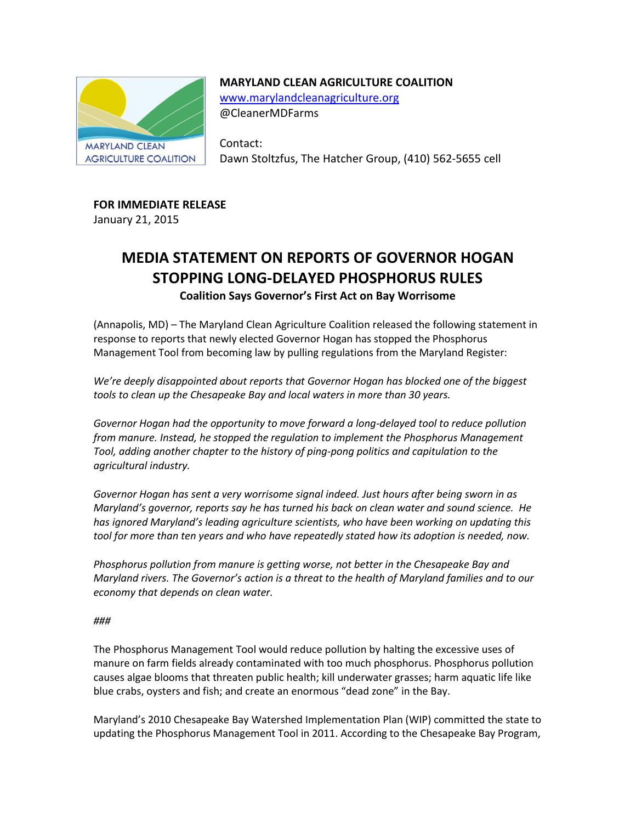

## **MARYLAND CLEAN AGRICULTURE COALITION**

[www.marylandcleanagriculture.org](http://www.marylandcleanagriculture.org/) @CleanerMDFarms

Contact: Dawn Stoltzfus, The Hatcher Group, (410) 562-5655 cell

## **FOR IMMEDIATE RELEASE**

January 21, 2015

# **MEDIA STATEMENT ON REPORTS OF GOVERNOR HOGAN STOPPING LONG-DELAYED PHOSPHORUS RULES Coalition Says Governor's First Act on Bay Worrisome**

(Annapolis, MD) – The Maryland Clean Agriculture Coalition released the following statement in response to reports that newly elected Governor Hogan has stopped the Phosphorus Management Tool from becoming law by pulling regulations from the Maryland Register:

*We're deeply disappointed about reports that Governor Hogan has blocked one of the biggest tools to clean up the Chesapeake Bay and local waters in more than 30 years.*

*Governor Hogan had the opportunity to move forward a long-delayed tool to reduce pollution from manure. Instead, he stopped the regulation to implement the Phosphorus Management Tool, adding another chapter to the history of ping-pong politics and capitulation to the agricultural industry.*

*Governor Hogan has sent a very worrisome signal indeed. Just hours after being sworn in as Maryland's governor, reports say he has turned his back on clean water and sound science. He has ignored Maryland's leading agriculture scientists, who have been working on updating this tool for more than ten years and who have repeatedly stated how its adoption is needed, now.* 

*Phosphorus pollution from manure is getting worse, not better in the Chesapeake Bay and Maryland rivers. The Governor's action is a threat to the health of Maryland families and to our economy that depends on clean water.*

### *###*

The Phosphorus Management Tool would reduce pollution by halting the excessive uses of manure on farm fields already contaminated with too much phosphorus. Phosphorus pollution causes algae blooms that threaten public health; kill underwater grasses; harm aquatic life like blue crabs, oysters and fish; and create an enormous "dead zone" in the Bay.

Maryland's 2010 Chesapeake Bay Watershed Implementation Plan (WIP) committed the state to updating the Phosphorus Management Tool in 2011. According to the Chesapeake Bay Program,